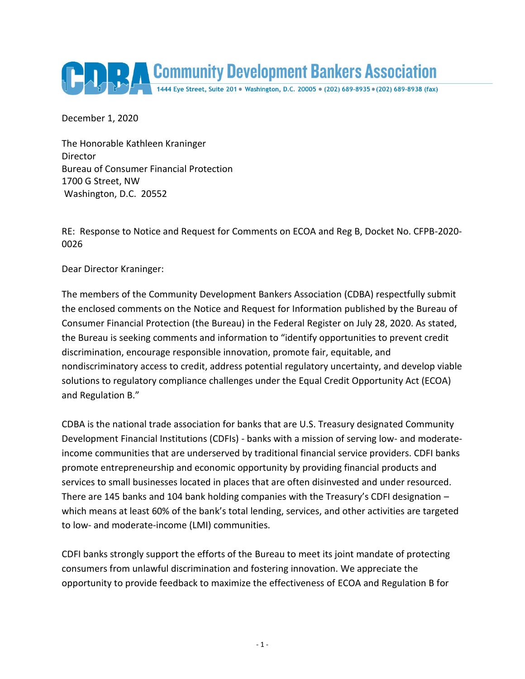

December 1, 2020

The Honorable Kathleen Kraninger Director Bureau of Consumer Financial Protection 1700 G Street, NW Washington, D.C. 20552

RE: Response to Notice and Request for Comments on ECOA and Reg B, Docket No. CFPB-2020- 0026

Dear Director Kraninger:

The members of the Community Development Bankers Association (CDBA) respectfully submit the enclosed comments on the Notice and Request for Information published by the Bureau of Consumer Financial Protection (the Bureau) in the Federal Register on July 28, 2020. As stated, the Bureau is seeking comments and information to "identify opportunities to prevent credit discrimination, encourage responsible innovation, promote fair, equitable, and nondiscriminatory access to credit, address potential regulatory uncertainty, and develop viable solutions to regulatory compliance challenges under the Equal Credit Opportunity Act (ECOA) and Regulation B."

CDBA is the national trade association for banks that are U.S. Treasury designated Community Development Financial Institutions (CDFIs) - banks with a mission of serving low- and moderateincome communities that are underserved by traditional financial service providers. CDFI banks promote entrepreneurship and economic opportunity by providing financial products and services to small businesses located in places that are often disinvested and under resourced. There are 145 banks and 104 bank holding companies with the Treasury's CDFI designation – which means at least 60% of the bank's total lending, services, and other activities are targeted to low- and moderate-income (LMI) communities.

CDFI banks strongly support the efforts of the Bureau to meet its joint mandate of protecting consumers from unlawful discrimination and fostering innovation. We appreciate the opportunity to provide feedback to maximize the effectiveness of ECOA and Regulation B for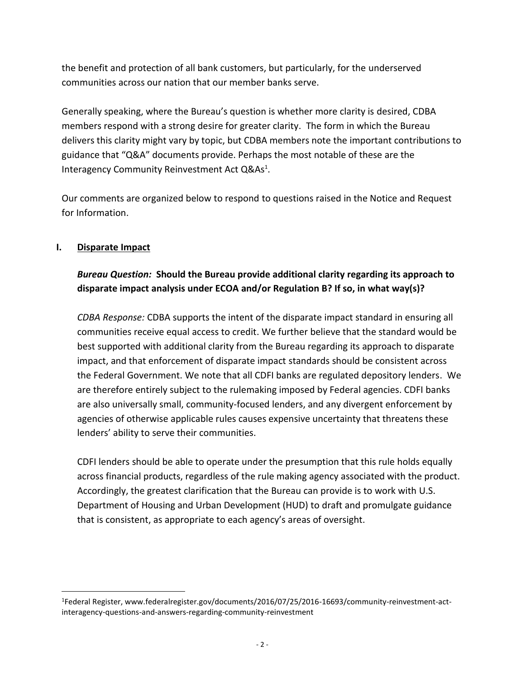the benefit and protection of all bank customers, but particularly, for the underserved communities across our nation that our member banks serve.

Generally speaking, where the Bureau's question is whether more clarity is desired, CDBA members respond with a strong desire for greater clarity. The form in which the Bureau delivers this clarity might vary by topic, but CDBA members note the important contributions to guidance that "Q&A" documents provide. Perhaps the most notable of these are the Interagency Community Reinvestment Act Q&As<sup>1</sup>.

Our comments are organized below to respond to questions raised in the Notice and Request for Information.

## **I. Disparate Impact**

 $\overline{a}$ 

# *Bureau Question:* **Should the Bureau provide additional clarity regarding its approach to disparate impact analysis under ECOA and/or Regulation B? If so, in what way(s)?**

*CDBA Response:* CDBA supports the intent of the disparate impact standard in ensuring all communities receive equal access to credit. We further believe that the standard would be best supported with additional clarity from the Bureau regarding its approach to disparate impact, and that enforcement of disparate impact standards should be consistent across the Federal Government. We note that all CDFI banks are regulated depository lenders. We are therefore entirely subject to the rulemaking imposed by Federal agencies. CDFI banks are also universally small, community-focused lenders, and any divergent enforcement by agencies of otherwise applicable rules causes expensive uncertainty that threatens these lenders' ability to serve their communities.

CDFI lenders should be able to operate under the presumption that this rule holds equally across financial products, regardless of the rule making agency associated with the product. Accordingly, the greatest clarification that the Bureau can provide is to work with U.S. Department of Housing and Urban Development (HUD) to draft and promulgate guidance that is consistent, as appropriate to each agency's areas of oversight.

<sup>1</sup> Federal Register, www.federalregister.gov/documents/2016/07/25/2016-16693/community-reinvestment-actinteragency-questions-and-answers-regarding-community-reinvestment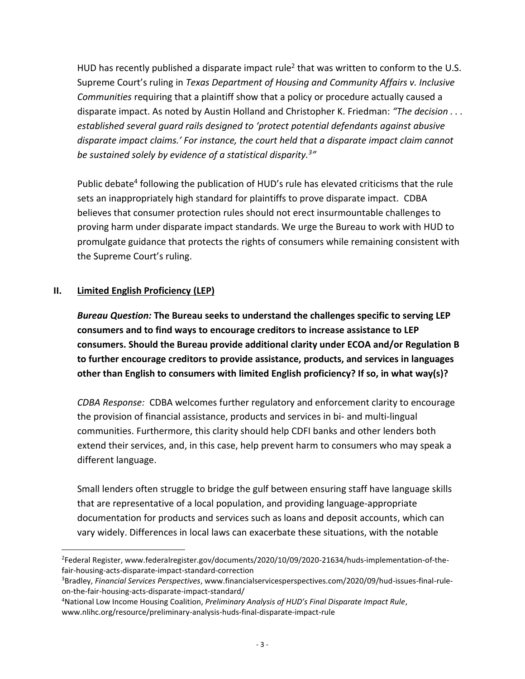HUD has recently published a disparate impact rule<sup>2</sup> that was written to conform to the U.S. Supreme Court's ruling in *Texas Department of Housing and Community Affairs v. Inclusive Communities* requiring that a plaintiff show that a policy or procedure actually caused a disparate impact. As noted by Austin Holland and Christopher K. Friedman: *"The decision . . . established several guard rails designed to 'protect potential defendants against abusive disparate impact claims.' For instance, the court held that a disparate impact claim cannot be sustained solely by evidence of a statistical disparity.<sup>3</sup> "*

Public debate<sup>4</sup> following the publication of HUD's rule has elevated criticisms that the rule sets an inappropriately high standard for plaintiffs to prove disparate impact. CDBA believes that consumer protection rules should not erect insurmountable challenges to proving harm under disparate impact standards. We urge the Bureau to work with HUD to promulgate guidance that protects the rights of consumers while remaining consistent with the Supreme Court's ruling.

## **II. Limited English Proficiency (LEP)**

 $\overline{a}$ 

*Bureau Question:* **The Bureau seeks to understand the challenges specific to serving LEP consumers and to find ways to encourage creditors to increase assistance to LEP consumers. Should the Bureau provide additional clarity under ECOA and/or Regulation B to further encourage creditors to provide assistance, products, and services in languages other than English to consumers with limited English proficiency? If so, in what way(s)?**

*CDBA Response:* CDBA welcomes further regulatory and enforcement clarity to encourage the provision of financial assistance, products and services in bi- and multi-lingual communities. Furthermore, this clarity should help CDFI banks and other lenders both extend their services, and, in this case, help prevent harm to consumers who may speak a different language.

Small lenders often struggle to bridge the gulf between ensuring staff have language skills that are representative of a local population, and providing language-appropriate documentation for products and services such as loans and deposit accounts, which can vary widely. Differences in local laws can exacerbate these situations, with the notable

<sup>2</sup> Federal Register, www.federalregister.gov/documents/2020/10/09/2020-21634/huds-implementation-of-thefair-housing-acts-disparate-impact-standard-correction

<sup>3</sup>Bradley, *Financial Services Perspectives*, www.financialservicesperspectives.com/2020/09/hud-issues-final-ruleon-the-fair-housing-acts-disparate-impact-standard/

<sup>4</sup>National Low Income Housing Coalition, *Preliminary Analysis of HUD's Final Disparate Impact Rule*, www.nlihc.org/resource/preliminary-analysis-huds-final-disparate-impact-rule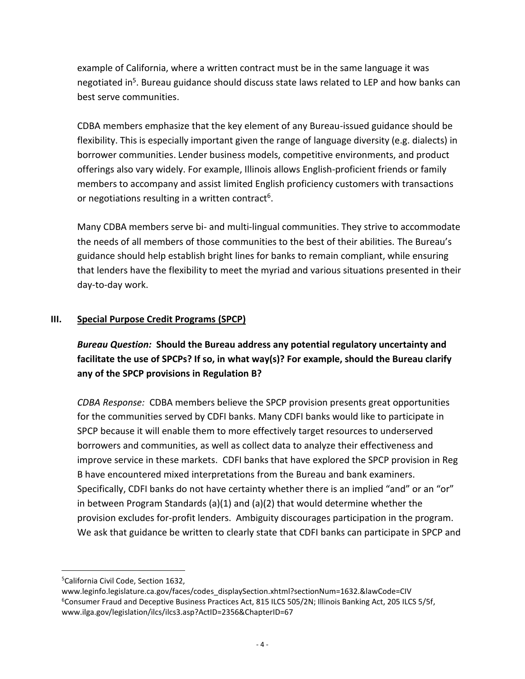example of California, where a written contract must be in the same language it was negotiated in<sup>5</sup>. Bureau guidance should discuss state laws related to LEP and how banks can best serve communities.

CDBA members emphasize that the key element of any Bureau-issued guidance should be flexibility. This is especially important given the range of language diversity (e.g. dialects) in borrower communities. Lender business models, competitive environments, and product offerings also vary widely. For example, Illinois allows English-proficient friends or family members to accompany and assist limited English proficiency customers with transactions or negotiations resulting in a written contract<sup>6</sup>.

Many CDBA members serve bi- and multi-lingual communities. They strive to accommodate the needs of all members of those communities to the best of their abilities. The Bureau's guidance should help establish bright lines for banks to remain compliant, while ensuring that lenders have the flexibility to meet the myriad and various situations presented in their day-to-day work.

## **III. Special Purpose Credit Programs (SPCP)**

*Bureau Question:* **Should the Bureau address any potential regulatory uncertainty and facilitate the use of SPCPs? If so, in what way(s)? For example, should the Bureau clarify any of the SPCP provisions in Regulation B?**

*CDBA Response:* CDBA members believe the SPCP provision presents great opportunities for the communities served by CDFI banks. Many CDFI banks would like to participate in SPCP because it will enable them to more effectively target resources to underserved borrowers and communities, as well as collect data to analyze their effectiveness and improve service in these markets. CDFI banks that have explored the SPCP provision in Reg B have encountered mixed interpretations from the Bureau and bank examiners. Specifically, CDFI banks do not have certainty whether there is an implied "and" or an "or" in between Program Standards (a)(1) and (a)(2) that would determine whether the provision excludes for-profit lenders. Ambiguity discourages participation in the program. We ask that guidance be written to clearly state that CDFI banks can participate in SPCP and

 $\overline{a}$ 

<sup>5</sup>California Civil Code, Section 1632,

www.leginfo.legislature.ca.gov/faces/codes\_displaySection.xhtml?sectionNum=1632.&lawCode=CIV <sup>6</sup>Consumer Fraud and Deceptive Business Practices Act, 815 ILCS 505/2N; Illinois Banking Act, 205 ILCS 5/5f, www.ilga.gov/legislation/ilcs/ilcs3.asp?ActID=2356&ChapterID=67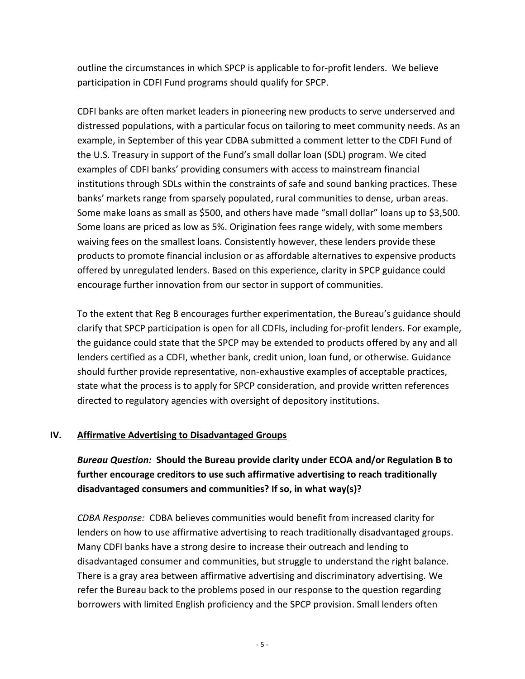outline the circumstances in which SPCP is applicable to for-profit lenders. We believe participation in CDFI Fund programs should qualify for SPCP.

CDFI banks are often market leaders in pioneering new products to serve underserved and distressed populations, with a particular focus on tailoring to meet community needs. As an example, in September of this year CDBA submitted a comment letter to the CDFI Fund of the U.S. Treasury in support of the Fund's small dollar loan (SDL) program. We cited examples of CDFI banks' providing consumers with access to mainstream financial institutions through SDLs within the constraints of safe and sound banking practices. These banks' markets range from sparsely populated, rural communities to dense, urban areas. Some make loans as small as \$500, and others have made "small dollar" loans up to \$3,500. Some loans are priced as low as 5%. Origination fees range widely, with some members waiving fees on the smallest loans. Consistently however, these lenders provide these products to promote financial inclusion or as affordable alternatives to expensive products offered by unregulated lenders. Based on this experience, clarity in SPCP guidance could encourage further innovation from our sector in support of communities.

To the extent that Reg B encourages further experimentation, the Bureau's guidance should clarify that SPCP participation is open for all CDFIs, including for-profit lenders. For example, the guidance could state that the SPCP may be extended to products offered by any and all lenders certified as a CDFI, whether bank, credit union, loan fund, or otherwise. Guidance should further provide representative, non-exhaustive examples of acceptable practices, state what the process is to apply for SPCP consideration, and provide written references directed to regulatory agencies with oversight of depository institutions.

## **IV. Affirmative Advertising to Disadvantaged Groups**

*Bureau Question:* **Should the Bureau provide clarity under ECOA and/or Regulation B to further encourage creditors to use such affirmative advertising to reach traditionally disadvantaged consumers and communities? If so, in what way(s)?**

*CDBA Response:* CDBA believes communities would benefit from increased clarity for lenders on how to use affirmative advertising to reach traditionally disadvantaged groups. Many CDFI banks have a strong desire to increase their outreach and lending to disadvantaged consumer and communities, but struggle to understand the right balance. There is a gray area between affirmative advertising and discriminatory advertising. We refer the Bureau back to the problems posed in our response to the question regarding borrowers with limited English proficiency and the SPCP provision. Small lenders often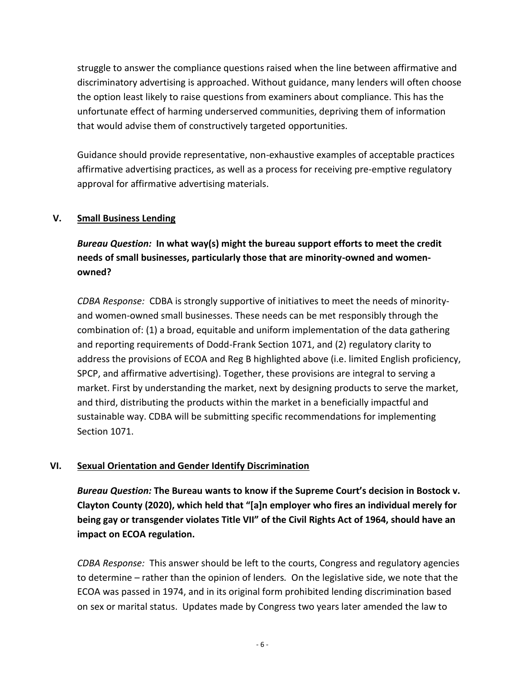struggle to answer the compliance questions raised when the line between affirmative and discriminatory advertising is approached. Without guidance, many lenders will often choose the option least likely to raise questions from examiners about compliance. This has the unfortunate effect of harming underserved communities, depriving them of information that would advise them of constructively targeted opportunities.

Guidance should provide representative, non-exhaustive examples of acceptable practices affirmative advertising practices, as well as a process for receiving pre-emptive regulatory approval for affirmative advertising materials.

## **V. Small Business Lending**

*Bureau Question:* **In what way(s) might the bureau support efforts to meet the credit needs of small businesses, particularly those that are minority-owned and womenowned?**

*CDBA Response:* CDBA is strongly supportive of initiatives to meet the needs of minorityand women-owned small businesses. These needs can be met responsibly through the combination of: (1) a broad, equitable and uniform implementation of the data gathering and reporting requirements of Dodd-Frank Section 1071, and (2) regulatory clarity to address the provisions of ECOA and Reg B highlighted above (i.e. limited English proficiency, SPCP, and affirmative advertising). Together, these provisions are integral to serving a market. First by understanding the market, next by designing products to serve the market, and third, distributing the products within the market in a beneficially impactful and sustainable way. CDBA will be submitting specific recommendations for implementing Section 1071.

## **VI. Sexual Orientation and Gender Identify Discrimination**

*Bureau Question:* **The Bureau wants to know if the Supreme Court's decision in Bostock v. Clayton County (2020), which held that "[a]n employer who fires an individual merely for being gay or transgender violates Title VII" of the Civil Rights Act of 1964, should have an impact on ECOA regulation.** 

*CDBA Response:* This answer should be left to the courts, Congress and regulatory agencies to determine – rather than the opinion of lenders*.* On the legislative side, we note that the ECOA was passed in 1974, and in its original form prohibited lending discrimination based on sex or marital status. Updates made by Congress two years later amended the law to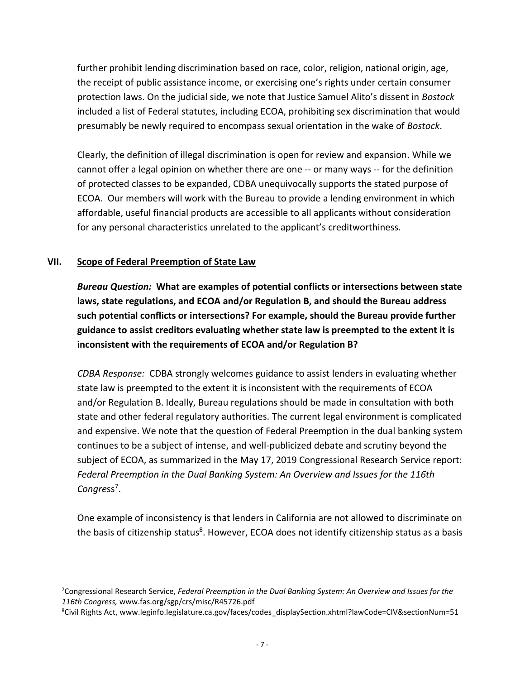further prohibit lending discrimination based on race, color, religion, national origin, age, the receipt of public assistance income, or exercising one's rights under certain consumer protection laws. On the judicial side, we note that Justice Samuel Alito's dissent in *Bostock*  included a list of Federal statutes, including ECOA, prohibiting sex discrimination that would presumably be newly required to encompass sexual orientation in the wake of *Bostock*.

Clearly, the definition of illegal discrimination is open for review and expansion. While we cannot offer a legal opinion on whether there are one -- or many ways -- for the definition of protected classes to be expanded, CDBA unequivocally supports the stated purpose of ECOA. Our members will work with the Bureau to provide a lending environment in which affordable, useful financial products are accessible to all applicants without consideration for any personal characteristics unrelated to the applicant's creditworthiness.

## **VII. Scope of Federal Preemption of State Law**

 $\overline{a}$ 

*Bureau Question:* **What are examples of potential conflicts or intersections between state laws, state regulations, and ECOA and/or Regulation B, and should the Bureau address such potential conflicts or intersections? For example, should the Bureau provide further guidance to assist creditors evaluating whether state law is preempted to the extent it is inconsistent with the requirements of ECOA and/or Regulation B?**

*CDBA Response:* CDBA strongly welcomes guidance to assist lenders in evaluating whether state law is preempted to the extent it is inconsistent with the requirements of ECOA and/or Regulation B. Ideally, Bureau regulations should be made in consultation with both state and other federal regulatory authorities. The current legal environment is complicated and expensive. We note that the question of Federal Preemption in the dual banking system continues to be a subject of intense, and well-publicized debate and scrutiny beyond the subject of ECOA, as summarized in the May 17, 2019 Congressional Research Service report: *Federal Preemption in the Dual Banking System: An Overview and Issues for the 116th*  Congress<sup>7</sup>.

One example of inconsistency is that lenders in California are not allowed to discriminate on the basis of citizenship status<sup>8</sup>. However, ECOA does not identify citizenship status as a basis

<sup>7</sup>Congressional Research Service, *Federal Preemption in the Dual Banking System: An Overview and Issues for the 116th Congress,* www.fas.org/sgp/crs/misc/R45726.pdf

<sup>8</sup>Civil Rights Act, www.leginfo.legislature.ca.gov/faces/codes\_displaySection.xhtml?lawCode=CIV&sectionNum=51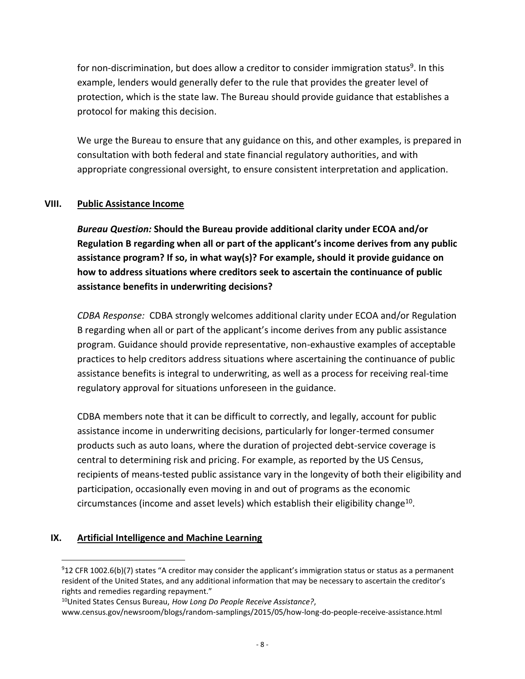for non-discrimination, but does allow a creditor to consider immigration status<sup>9</sup>. In this example, lenders would generally defer to the rule that provides the greater level of protection, which is the state law. The Bureau should provide guidance that establishes a protocol for making this decision.

We urge the Bureau to ensure that any guidance on this, and other examples, is prepared in consultation with both federal and state financial regulatory authorities, and with appropriate congressional oversight, to ensure consistent interpretation and application.

#### **VIII. Public Assistance Income**

*Bureau Question:* **Should the Bureau provide additional clarity under ECOA and/or Regulation B regarding when all or part of the applicant's income derives from any public assistance program? If so, in what way(s)? For example, should it provide guidance on how to address situations where creditors seek to ascertain the continuance of public assistance benefits in underwriting decisions?**

*CDBA Response:* CDBA strongly welcomes additional clarity under ECOA and/or Regulation B regarding when all or part of the applicant's income derives from any public assistance program. Guidance should provide representative, non-exhaustive examples of acceptable practices to help creditors address situations where ascertaining the continuance of public assistance benefits is integral to underwriting, as well as a process for receiving real-time regulatory approval for situations unforeseen in the guidance.

CDBA members note that it can be difficult to correctly, and legally, account for public assistance income in underwriting decisions, particularly for longer-termed consumer products such as auto loans, where the duration of projected debt-service coverage is central to determining risk and pricing. For example, as reported by the US Census, recipients of means-tested public assistance vary in the longevity of both their eligibility and participation, occasionally even moving in and out of programs as the economic circumstances (income and asset levels) which establish their eligibility change<sup>10</sup>.

#### **IX. Artificial Intelligence and Machine Learning**

 $\overline{a}$ 

 $912$  CFR 1002.6(b)(7) states "A creditor may consider the applicant's immigration status or status as a permanent resident of the United States, and any additional information that may be necessary to ascertain the creditor's rights and remedies regarding repayment."

<sup>10</sup>United States Census Bureau, *How Long Do People Receive Assistance?*,

www.census.gov/newsroom/blogs/random-samplings/2015/05/how-long-do-people-receive-assistance.html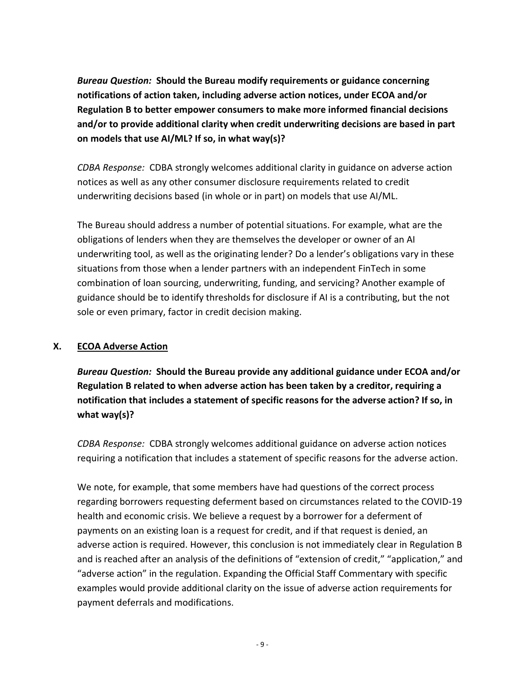*Bureau Question:* **Should the Bureau modify requirements or guidance concerning notifications of action taken, including adverse action notices, under ECOA and/or Regulation B to better empower consumers to make more informed financial decisions and/or to provide additional clarity when credit underwriting decisions are based in part on models that use AI/ML? If so, in what way(s)?**

*CDBA Response:* CDBA strongly welcomes additional clarity in guidance on adverse action notices as well as any other consumer disclosure requirements related to credit underwriting decisions based (in whole or in part) on models that use AI/ML.

The Bureau should address a number of potential situations. For example, what are the obligations of lenders when they are themselves the developer or owner of an AI underwriting tool, as well as the originating lender? Do a lender's obligations vary in these situations from those when a lender partners with an independent FinTech in some combination of loan sourcing, underwriting, funding, and servicing? Another example of guidance should be to identify thresholds for disclosure if AI is a contributing, but the not sole or even primary, factor in credit decision making.

## **X. ECOA Adverse Action**

*Bureau Question:* **Should the Bureau provide any additional guidance under ECOA and/or Regulation B related to when adverse action has been taken by a creditor, requiring a notification that includes a statement of specific reasons for the adverse action? If so, in what way(s)?**

*CDBA Response:* CDBA strongly welcomes additional guidance on adverse action notices requiring a notification that includes a statement of specific reasons for the adverse action.

We note, for example, that some members have had questions of the correct process regarding borrowers requesting deferment based on circumstances related to the COVID-19 health and economic crisis. We believe a request by a borrower for a deferment of payments on an existing loan is a request for credit, and if that request is denied, an adverse action is required. However, this conclusion is not immediately clear in Regulation B and is reached after an analysis of the definitions of "extension of credit," "application," and "adverse action" in the regulation. Expanding the Official Staff Commentary with specific examples would provide additional clarity on the issue of adverse action requirements for payment deferrals and modifications.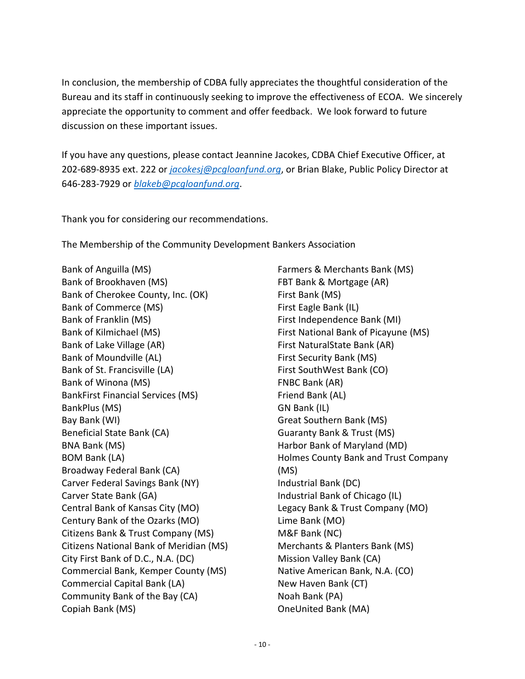In conclusion, the membership of CDBA fully appreciates the thoughtful consideration of the Bureau and its staff in continuously seeking to improve the effectiveness of ECOA. We sincerely appreciate the opportunity to comment and offer feedback. We look forward to future discussion on these important issues.

If you have any questions, please contact Jeannine Jacokes, CDBA Chief Executive Officer, at 202-689-8935 ext. 222 or *[jacokesj@pcgloanfund.org](mailto:jacokesj@pcgloanfund.org)*, or Brian Blake, Public Policy Director at 646-283-7929 or *[blakeb@pcgloanfund.org](file:///C:/Users/jjacokes/AppData/Local/Microsoft/Windows/INetCache/Content.Outlook/MNEVLOR1/blakeb@pcgloanfund.org)*.

Thank you for considering our recommendations.

The Membership of the Community Development Bankers Association

Bank of Anguilla (MS) Bank of Brookhaven (MS) Bank of Cherokee County, Inc. (OK) Bank of Commerce (MS) Bank of Franklin (MS) Bank of Kilmichael (MS) Bank of Lake Village (AR) Bank of Moundville (AL) Bank of St. Francisville (LA) Bank of Winona (MS) BankFirst Financial Services (MS) BankPlus (MS) Bay Bank (WI) Beneficial State Bank (CA) BNA Bank (MS) BOM Bank (LA) Broadway Federal Bank (CA) Carver Federal Savings Bank (NY) Carver State Bank (GA) Central Bank of Kansas City (MO) Century Bank of the Ozarks (MO) Citizens Bank & Trust Company (MS) Citizens National Bank of Meridian (MS) City First Bank of D.C., N.A. (DC) Commercial Bank, Kemper County (MS) Commercial Capital Bank (LA) Community Bank of the Bay (CA) Copiah Bank (MS)

Farmers & Merchants Bank (MS) FBT Bank & Mortgage (AR) First Bank (MS) First Eagle Bank (IL) First Independence Bank (MI) First National Bank of Picayune (MS) First NaturalState Bank (AR) First Security Bank (MS) First SouthWest Bank (CO) FNBC Bank (AR) Friend Bank (AL) GN Bank (IL) Great Southern Bank (MS) Guaranty Bank & Trust (MS) Harbor Bank of Maryland (MD) Holmes County Bank and Trust Company (MS) Industrial Bank (DC) Industrial Bank of Chicago (IL) Legacy Bank & Trust Company (MO) Lime Bank (MO) M&F Bank (NC) Merchants & Planters Bank (MS) Mission Valley Bank (CA) Native American Bank, N.A. (CO) New Haven Bank (CT) Noah Bank (PA) OneUnited Bank (MA)